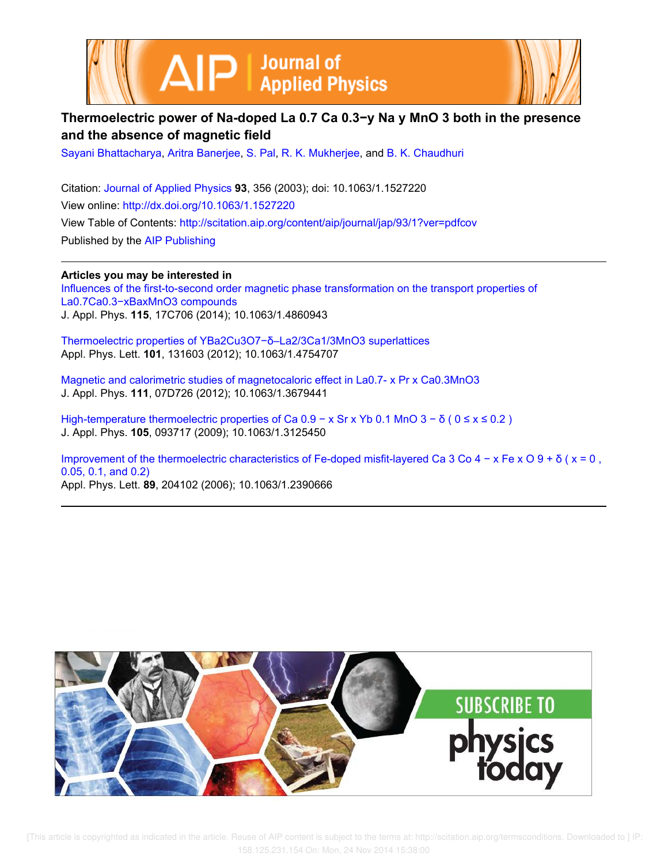



# **Thermoelectric power of Na-doped La 0.7 Ca 0.3−y Na y MnO 3 both in the presence and the absence of magnetic field**

Sayani Bhattacharya, Aritra Banerjee, S. Pal, R. K. Mukherjee, and B. K. Chaudhuri

Citation: Journal of Applied Physics **93**, 356 (2003); doi: 10.1063/1.1527220 View online: http://dx.doi.org/10.1063/1.1527220 View Table of Contents: http://scitation.aip.org/content/aip/journal/jap/93/1?ver=pdfcov Published by the AIP Publishing

**Articles you may be interested in** Influences of the first-to-second order magnetic phase transformation on the transport properties of La0.7Ca0.3−xBaxMnO3 compounds J. Appl. Phys. **115**, 17C706 (2014); 10.1063/1.4860943

Thermoelectric properties of YBa2Cu3O7−δ–La2/3Ca1/3MnO3 superlattices Appl. Phys. Lett. **101**, 131603 (2012); 10.1063/1.4754707

Magnetic and calorimetric studies of magnetocaloric effect in La0.7- x Pr x Ca0.3MnO3 J. Appl. Phys. **111**, 07D726 (2012); 10.1063/1.3679441

High-temperature thermoelectric properties of Ca  $0.9 - x$  Sr x Yb 0.1 MnO  $3 - \delta$  ( $0 \le x \le 0.2$ ) J. Appl. Phys. **105**, 093717 (2009); 10.1063/1.3125450

Improvement of the thermoelectric characteristics of Fe-doped misfit-layered Ca 3 Co 4 − x Fe x O 9 + δ ( x = 0 , 0.05, 0.1, and 0.2) Appl. Phys. Lett. **89**, 204102 (2006); 10.1063/1.2390666

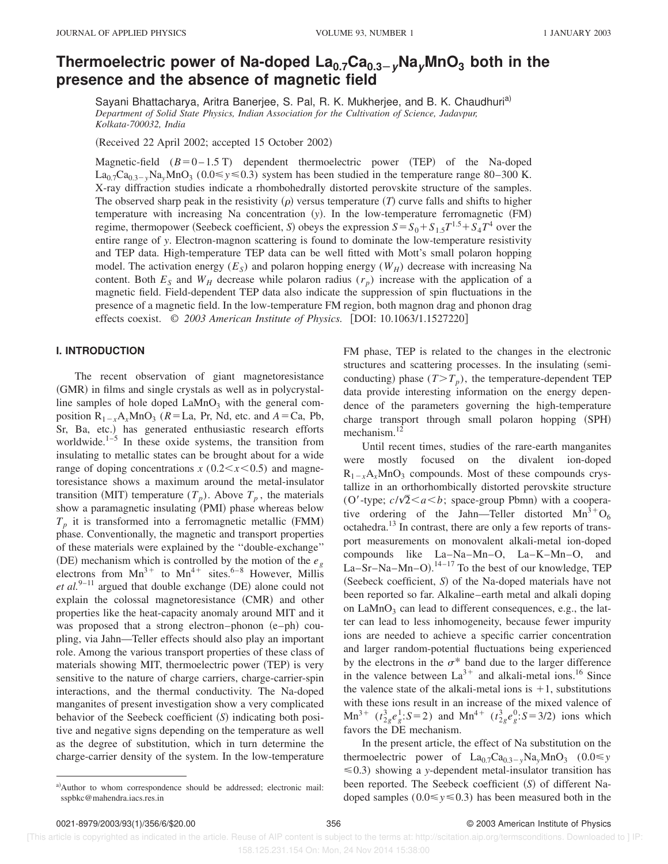# **Thermoelectric power of Na-doped La0.7Ca0.3ÀyNayMnO<sup>3</sup> both in the presence and the absence of magnetic field**

Sayani Bhattacharya, Aritra Banerjee, S. Pal, R. K. Mukherjee, and B. K. Chaudhuri<sup>a)</sup> *Department of Solid State Physics, Indian Association for the Cultivation of Science, Jadavpur, Kolkata-700032, India*

(Received 22 April 2002; accepted 15 October 2002)

Magnetic-field  $(B=0-1.5 T)$  dependent thermoelectric power (TEP) of the Na-doped  $La_{0.7}Ca_{0.3-y}Na_yMnO_3$  (0.0  $\leq y \leq 0.3$ ) system has been studied in the temperature range 80–300 K. X-ray diffraction studies indicate a rhombohedrally distorted perovskite structure of the samples. The observed sharp peak in the resistivity  $(\rho)$  versus temperature  $(T)$  curve falls and shifts to higher temperature with increasing Na concentration (y). In the low-temperature ferromagnetic (FM) regime, thermopower (Seebeck coefficient, *S*) obeys the expression  $S = S_0 + S_{1.5}T^{1.5} + S_4T^4$  over the entire range of *y*. Electron-magnon scattering is found to dominate the low-temperature resistivity and TEP data. High-temperature TEP data can be well fitted with Mott's small polaron hopping model. The activation energy (*E<sup>S</sup>* ) and polaron hopping energy (*WH*) decrease with increasing Na content. Both  $E<sub>S</sub>$  and  $W<sub>H</sub>$  decrease while polaron radius  $(r<sub>p</sub>)$  increase with the application of a magnetic field. Field-dependent TEP data also indicate the suppression of spin fluctuations in the presence of a magnetic field. In the low-temperature FM region, both magnon drag and phonon drag effects coexist.  $\degree$  2003 American Institute of Physics. [DOI: 10.1063/1.1527220]

## **I. INTRODUCTION**

The recent observation of giant magnetoresistance (GMR) in films and single crystals as well as in polycrystalline samples of hole doped  $\text{LaMnO}_3$  with the general composition  $R_{1-x}A_xMnO_3$  ( $R = La$ , Pr, Nd, etc. and  $A = Ca$ , Pb, Sr, Ba, etc.) has generated enthusiastic research efforts worldwide. $1-5$  In these oxide systems, the transition from insulating to metallic states can be brought about for a wide range of doping concentrations  $x(0.2 \le x \le 0.5)$  and magnetoresistance shows a maximum around the metal-insulator transition (MIT) temperature  $(T_p)$ . Above  $T_p$ , the materials show a paramagnetic insulating (PMI) phase whereas below  $T_p$  it is transformed into a ferromagnetic metallic (FMM) phase. Conventionally, the magnetic and transport properties of these materials were explained by the ''double-exchange'' (DE) mechanism which is controlled by the motion of the  $e_g$ electrons from  $Mn^{3+}$  to  $Mn^{4+}$  sites.<sup>6–8</sup> However, Millis *et al.*<sup>9-11</sup> argued that double exchange (DE) alone could not explain the colossal magnetoresistance (CMR) and other properties like the heat-capacity anomaly around MIT and it was proposed that a strong electron–phonon  $(e-ph)$  coupling, via Jahn—Teller effects should also play an important role. Among the various transport properties of these class of materials showing MIT, thermoelectric power (TEP) is very sensitive to the nature of charge carriers, charge-carrier-spin interactions, and the thermal conductivity. The Na-doped manganites of present investigation show a very complicated behavior of the Seebeck coefficient (S) indicating both positive and negative signs depending on the temperature as well as the degree of substitution, which in turn determine the charge-carrier density of the system. In the low-temperature

FM phase, TEP is related to the changes in the electronic structures and scattering processes. In the insulating (semiconducting) phase  $(T>T_p)$ , the temperature-dependent TEP data provide interesting information on the energy dependence of the parameters governing the high-temperature charge transport through small polaron hopping (SPH) mechanism.<sup>12</sup>

Until recent times, studies of the rare-earth manganites were mostly focused on the divalent ion-doped  $R_{1-x}A_xMnO_3$  compounds. Most of these compounds crystallize in an orthorhombically distorted perovskite structure (O'-type;  $c/\sqrt{2}$ < $a$ < $b$ ; space-group Pbmn) with a cooperative ordering of the Jahn—Teller distorted  $Mn^{3+}O_6$ octahedra.<sup>13</sup> In contrast, there are only a few reports of transport measurements on monovalent alkali-metal ion-doped compounds like La–Na–Mn–O, La–K–Mn–O, and La–Sr–Na–Mn–O).<sup>14–17</sup> To the best of our knowledge, TEP (Seebeck coefficient, *S*) of the Na-doped materials have not been reported so far. Alkaline–earth metal and alkali doping on  $LaMnO<sub>3</sub>$  can lead to different consequences, e.g., the latter can lead to less inhomogeneity, because fewer impurity ions are needed to achieve a specific carrier concentration and larger random-potential fluctuations being experienced by the electrons in the  $\sigma^*$  band due to the larger difference in the valence between  $La^{3+}$  and alkali-metal ions.<sup>16</sup> Since the valence state of the alkali-metal ions is  $+1$ , substitutions with these ions result in an increase of the mixed valence of  $Mn^{3+}$  ( $t^{3}_{2g}e^{1}_{g}$ ; *S*=2) and  $Mn^{4+}$  ( $t^{3}_{2g}e^{0}_{g}$ ; *S*=3/2) ions which favors the DE mechanism.

In the present article, the effect of Na substitution on the thermoelectric power of  $La_{0.7}Ca_{0.3-y}Na_yMnO_3$  (0.0  $\leq y$ )  $\leq 0.3$ ) showing a *y*-dependent metal-insulator transition has been reported. The Seebeck coefficient (S) of different Nadoped samples  $(0.0 \le y \le 0.3)$  has been measured both in the

a)Author to whom correspondence should be addressed; electronic mail: sspbkc@mahendra.iacs.res.in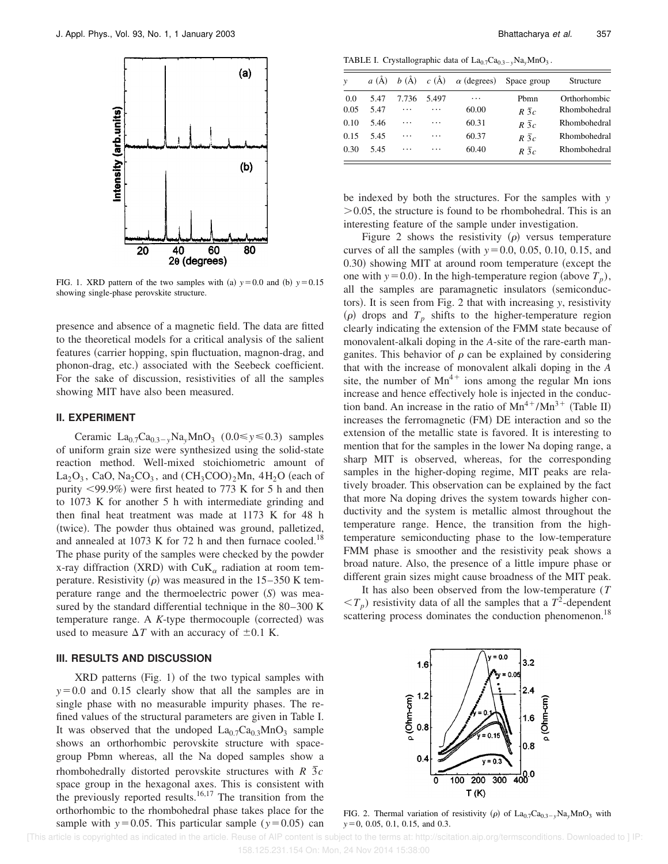

FIG. 1. XRD pattern of the two samples with (a)  $y=0.0$  and (b)  $y=0.15$ showing single-phase perovskite structure.

presence and absence of a magnetic field. The data are fitted to the theoretical models for a critical analysis of the salient features (carrier hopping, spin fluctuation, magnon-drag, and phonon-drag, etc.) associated with the Seebeck coefficient. For the sake of discussion, resistivities of all the samples showing MIT have also been measured.

## **II. EXPERIMENT**

Ceramic  $La_{0.7}Ca_{0.3-y}Na_yMnO_3$  (0.0  $\leq y \leq 0.3$ ) samples of uniform grain size were synthesized using the solid-state reaction method. Well-mixed stoichiometric amount of  $La_2O_3$ , CaO, Na<sub>2</sub>CO<sub>3</sub>, and  $(CH_3COO)_2Mn$ , 4H<sub>2</sub>O (each of purity  $\langle 99.9\% \rangle$  were first heated to 773 K for 5 h and then to 1073 K for another 5 h with intermediate grinding and then final heat treatment was made at 1173 K for 48 h (twice). The powder thus obtained was ground, palletized, and annealed at 1073 K for 72 h and then furnace cooled.<sup>18</sup> The phase purity of the samples were checked by the powder x-ray diffraction (XRD) with CuK<sub>a</sub> radiation at room temperature. Resistivity  $(\rho)$  was measured in the 15–350 K temperature range and the thermoelectric power (S) was measured by the standard differential technique in the 80–300 K temperature range. A  $K$ -type thermocouple (corrected) was used to measure  $\Delta T$  with an accuracy of  $\pm 0.1$  K.

## **III. RESULTS AND DISCUSSION**

 $XRD$  patterns (Fig. 1) of the two typical samples with  $y=0.0$  and 0.15 clearly show that all the samples are in single phase with no measurable impurity phases. The refined values of the structural parameters are given in Table I. It was observed that the undoped  $La_{0.7}Ca_{0.3}MnO_3$  sample shows an orthorhombic perovskite structure with spacegroup Pbmn whereas, all the Na doped samples show a rhombohedrally distorted perovskite structures with  $R \overline{3}c$ space group in the hexagonal axes. This is consistent with the previously reported results.<sup>16,17</sup> The transition from the orthorhombic to the rhombohedral phase takes place for the sample with  $y=0.05$ . This particular sample ( $y=0.05$ ) can

TABLE I. Crystallographic data of  $La_{0.7}Ca_{0.3-y}Na_yMnO_3$ .

| $\mathbf{v}$ | a(A) | $b(\AA)$ $c(\AA)$ |       | $\alpha$ (degrees) Space group |             | Structure    |
|--------------|------|-------------------|-------|--------------------------------|-------------|--------------|
| 0.0          | 5.47 | 7.736             | 5.497 | .                              | Phmn        | Orthorhombic |
| 0.05         | 5.47 | .                 | .     | 60.00                          | $R\bar{3}c$ | Rhombohedral |
| 0.10         | 5.46 | $\ddotsc$         | .     | 60.31                          | $R\bar{3}c$ | Rhombohedral |
| 0.15         | 5.45 | .                 | .     | 60.37                          | $R\bar{3}c$ | Rhombohedral |
| 0.30         | 5.45 | .                 | .     | 60.40                          | $R\bar{3}c$ | Rhombohedral |

be indexed by both the structures. For the samples with *y*  $>0.05$ , the structure is found to be rhombohedral. This is an interesting feature of the sample under investigation.

Figure 2 shows the resistivity  $(\rho)$  versus temperature curves of all the samples (with  $y=0.0, 0.05, 0.10, 0.15,$  and 0.30) showing MIT at around room temperature (except the one with  $y=0.0$ ). In the high-temperature region (above  $T_p$ ), all the samples are paramagnetic insulators (semiconductors). It is seen from Fig. 2 that with increasing *y*, resistivity  $(\rho)$  drops and  $T_p$  shifts to the higher-temperature region clearly indicating the extension of the FMM state because of monovalent-alkali doping in the *A*-site of the rare-earth manganites. This behavior of  $\rho$  can be explained by considering that with the increase of monovalent alkali doping in the *A* site, the number of  $Mn^{4+}$  ions among the regular Mn ions increase and hence effectively hole is injected in the conduction band. An increase in the ratio of  $Mn^{4+}/Mn^{3+}$  (Table II) increases the ferromagnetic (FM) DE interaction and so the extension of the metallic state is favored. It is interesting to mention that for the samples in the lower Na doping range, a sharp MIT is observed, whereas, for the corresponding samples in the higher-doping regime, MIT peaks are relatively broader. This observation can be explained by the fact that more Na doping drives the system towards higher conductivity and the system is metallic almost throughout the temperature range. Hence, the transition from the hightemperature semiconducting phase to the low-temperature FMM phase is smoother and the resistivity peak shows a broad nature. Also, the presence of a little impure phase or different grain sizes might cause broadness of the MIT peak.

It has also been observed from the low-temperature (*T*  $(T_p)$  resistivity data of all the samples that a  $T^2$ -dependent scattering process dominates the conduction phenomenon.<sup>18</sup>



FIG. 2. Thermal variation of resistivity ( $\rho$ ) of La<sub>0.7</sub>Ca<sub>0.3-y</sub>Na<sub>y</sub>MnO<sub>3</sub> with *y* = 0, 0.05, 0.1, 0.15, and 0.3.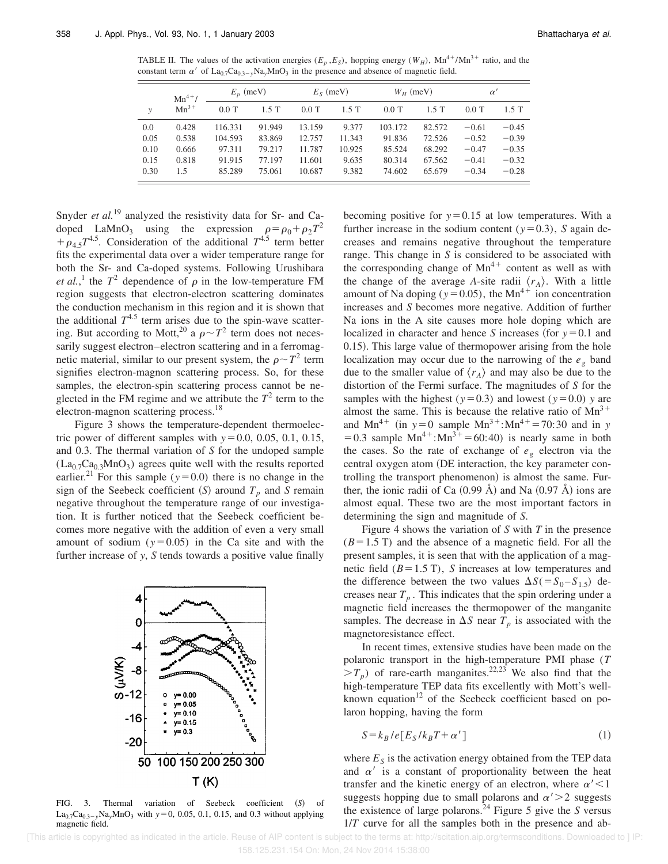TABLE II. The values of the activation energies  $(E_p, E_s)$ , hopping energy  $(W_H)$ ,  $Mn^{4+}/Mn^{3+}$  ratio, and the constant term  $\alpha'$  of La<sub>0.7</sub>Ca<sub>0.3-y</sub>Na<sub>y</sub>MnO<sub>3</sub> in the presence and absence of magnetic field.

|      | $Mn^{4+}/$<br>$Mn^{3+}$ | $E_p$ (meV) |        | $E_s$ (meV) |        | $W_H$ (meV) |         | $\alpha'$ |         |
|------|-------------------------|-------------|--------|-------------|--------|-------------|---------|-----------|---------|
| ν    |                         | $0.0$ T     | 1.5T   | $0.0$ T     | 1.5T   | $0.0$ T     | $1.5$ T | $0.0$ T   | 1.5T    |
| 0.0  | 0.428                   | 116.331     | 91.949 | 13.159      | 9.377  | 103.172     | 82.572  | $-0.61$   | $-0.45$ |
| 0.05 | 0.538                   | 104.593     | 83.869 | 12.757      | 11.343 | 91.836      | 72.526  | $-0.52$   | $-0.39$ |
| 0.10 | 0.666                   | 97.311      | 79.217 | 11.787      | 10.925 | 85.524      | 68.292  | $-0.47$   | $-0.35$ |
| 0.15 | 0.818                   | 91.915      | 77.197 | 11.601      | 9.635  | 80.314      | 67.562  | $-0.41$   | $-0.32$ |
| 0.30 | 1.5                     | 85.289      | 75.061 | 10.687      | 9.382  | 74.602      | 65.679  | $-0.34$   | $-0.28$ |

Snyder *et al.*<sup>19</sup> analyzed the resistivity data for Sr- and Cadoped LaMnO<sub>3</sub> using the expression  $\rho = \rho_0 + \rho_2 T^2$  $+\rho_{4.5}T^{4.5}$ . Consideration of the additional  $T^{4.5}$  term better fits the experimental data over a wider temperature range for both the Sr- and Ca-doped systems. Following Urushibara *et al.*,<sup>1</sup> the  $T^2$  dependence of  $\rho$  in the low-temperature FM region suggests that electron-electron scattering dominates the conduction mechanism in this region and it is shown that the additional  $T^{4.5}$  term arises due to the spin-wave scattering. But according to Mott,<sup>20</sup> a  $\rho \sim T^2$  term does not necessarily suggest electron–electron scattering and in a ferromagnetic material, similar to our present system, the  $\rho \sim T^2$  term signifies electron-magnon scattering process. So, for these samples, the electron-spin scattering process cannot be neglected in the FM regime and we attribute the  $T^2$  term to the electron-magnon scattering process.<sup>18</sup>

Figure 3 shows the temperature-dependent thermoelectric power of different samples with  $y=0.0, 0.05, 0.1, 0.15$ , and 0.3. The thermal variation of *S* for the undoped sample  $(La<sub>0.7</sub>Ca<sub>0.3</sub>MnO<sub>3</sub>)$  agrees quite well with the results reported earlier.<sup>21</sup> For this sample ( $y=0.0$ ) there is no change in the sign of the Seebeck coefficient (S) around  $T_p$  and *S* remain negative throughout the temperature range of our investigation. It is further noticed that the Seebeck coefficient becomes more negative with the addition of even a very small amount of sodium  $(y=0.05)$  in the Ca site and with the further increase of *y*, *S* tends towards a positive value finally



FIG. 3. Thermal variation of Seebeck coefficient (S) of  $La_{0.7}Ca_{0.3-y}Na_yMnO_3$  with  $y=0$ , 0.05, 0.1, 0.15, and 0.3 without applying magnetic field.

becoming positive for  $y=0.15$  at low temperatures. With a further increase in the sodium content ( $y=0.3$ ), *S* again decreases and remains negative throughout the temperature range. This change in *S* is considered to be associated with the corresponding change of  $Mn^{4+}$  content as well as with the change of the average *A*-site radii  $\langle r_A \rangle$ . With a little amount of Na doping ( $y=0.05$ ), the Mn<sup>4+</sup> ion concentration increases and *S* becomes more negative. Addition of further Na ions in the A site causes more hole doping which are localized in character and hence *S* increases (for  $y=0.1$  and 0.15). This large value of thermopower arising from the hole localization may occur due to the narrowing of the  $e_g$  band due to the smaller value of  $\langle r_A \rangle$  and may also be due to the distortion of the Fermi surface. The magnitudes of *S* for the samples with the highest ( $y=0.3$ ) and lowest ( $y=0.0$ ) *y* are almost the same. This is because the relative ratio of  $Mn^{3+}$ and Mn<sup>4+</sup> (in  $y=0$  sample Mn<sup>3+</sup>:Mn<sup>4+</sup>=70:30 and in *y* = 0.3 sample  $Mn^{4+}$ : $Mn^{3+}$  = 60:40) is nearly same in both the cases. So the rate of exchange of  $e_g$  electron via the central oxygen atom (DE interaction, the key parameter controlling the transport phenomenon) is almost the same. Further, the ionic radii of Ca  $(0.99 \text{ Å})$  and Na  $(0.97 \text{ Å})$  ions are almost equal. These two are the most important factors in determining the sign and magnitude of *S*.

Figure 4 shows the variation of *S* with *T* in the presence  $(B=1.5 \text{ T})$  and the absence of a magnetic field. For all the present samples, it is seen that with the application of a magnetic field  $(B=1.5 \text{ T})$ , *S* increases at low temperatures and the difference between the two values  $\Delta S$ ( $=S_0 - S_{1.5}$ ) decreases near  $T_p$ . This indicates that the spin ordering under a magnetic field increases the thermopower of the manganite samples. The decrease in  $\Delta S$  near  $T_p$  is associated with the magnetoresistance effect.

In recent times, extensive studies have been made on the polaronic transport in the high-temperature PMI phase (*T*  $>T_p$ ) of rare-earth manganites.<sup>22,23</sup> We also find that the high-temperature TEP data fits excellently with Mott's wellknown equation<sup>12</sup> of the Seebeck coefficient based on polaron hopping, having the form

$$
S = k_B / e[E_S / k_B T + \alpha'] \tag{1}
$$

where  $E<sub>S</sub>$  is the activation energy obtained from the TEP data and  $\alpha'$  is a constant of proportionality between the heat transfer and the kinetic energy of an electron, where  $\alpha'$  < 1 suggests hopping due to small polarons and  $\alpha' > 2$  suggests the existence of large polarons.<sup>24</sup> Figure 5 give the *S* versus 1/*T* curve for all the samples both in the presence and ab-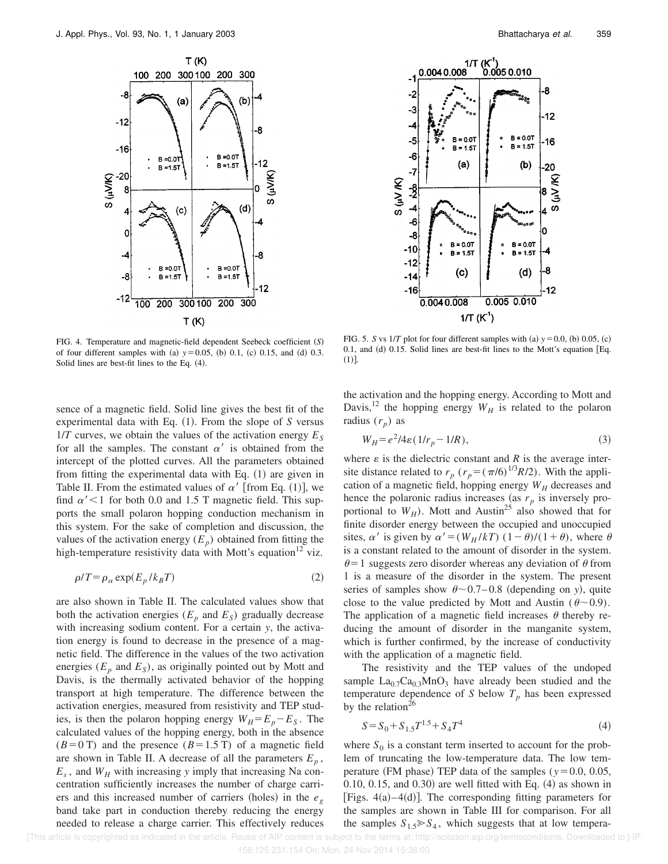

FIG. 4. Temperature and magnetic-field dependent Seebeck coefficient (S) of four different samples with (a)  $y=0.05$ , (b) 0.1, (c) 0.15, and (d) 0.3. Solid lines are best-fit lines to the Eq.  $(4)$ .

sence of a magnetic field. Solid line gives the best fit of the experimental data with Eq.  $(1)$ . From the slope of *S* versus  $1/T$  curves, we obtain the values of the activation energy  $E<sub>S</sub>$ for all the samples. The constant  $\alpha'$  is obtained from the intercept of the plotted curves. All the parameters obtained from fitting the experimental data with Eq.  $(1)$  are given in Table II. From the estimated values of  $\alpha'$  [from Eq. (1)], we find  $\alpha'$  < 1 for both 0.0 and 1.5 T magnetic field. This supports the small polaron hopping conduction mechanism in this system. For the sake of completion and discussion, the values of the activation energy  $(E_p)$  obtained from fitting the high-temperature resistivity data with Mott's equation<sup>12</sup> viz.

$$
\rho/T = \rho_{\alpha} \exp(E_p / k_B T) \tag{2}
$$

are also shown in Table II. The calculated values show that both the activation energies ( $E_p$  and  $E_s$ ) gradually decrease with increasing sodium content. For a certain *y*, the activation energy is found to decrease in the presence of a magnetic field. The difference in the values of the two activation energies  $(E_p$  and  $E_s$ ), as originally pointed out by Mott and Davis, is the thermally activated behavior of the hopping transport at high temperature. The difference between the activation energies, measured from resistivity and TEP studies, is then the polaron hopping energy  $W_H = E_p - E_S$ . The calculated values of the hopping energy, both in the absence  $(B=0 \text{ T})$  and the presence  $(B=1.5 \text{ T})$  of a magnetic field are shown in Table II. A decrease of all the parameters  $E_p$ ,  $E_s$ , and  $W_H$  with increasing *y* imply that increasing Na concentration sufficiently increases the number of charge carriers and this increased number of carriers (holes) in the  $e_g$ band take part in conduction thereby reducing the energy needed to release a charge carrier. This effectively reduces



FIG. 5. *S* vs  $1/T$  plot for four different samples with (a)  $y=0.0$ , (b) 0.05, (c) 0.1, and  $(d)$  0.15. Solid lines are best-fit lines to the Mott's equation [Eq.  $(1)$ ].

the activation and the hopping energy. According to Mott and Davis,<sup>12</sup> the hopping energy  $W_H$  is related to the polaron radius  $(r_p)$  as

$$
W_H = e^2/4\epsilon \left(1/r_p - 1/R\right),\tag{3}
$$

where  $\varepsilon$  is the dielectric constant and  $R$  is the average intersite distance related to  $r_p$  ( $r_p = (\pi/6)^{1/3}R/2$ ). With the application of a magnetic field, hopping energy  $W_H$  decreases and hence the polaronic radius increases (as  $r_p$  is inversely proportional to  $W_H$ ). Mott and Austin<sup>25</sup> also showed that for finite disorder energy between the occupied and unoccupied sites,  $\alpha'$  is given by  $\alpha' = (W_H / kT) (1 - \theta) / (1 + \theta)$ , where  $\theta$ is a constant related to the amount of disorder in the system.  $\theta$ =1 suggests zero disorder whereas any deviation of  $\theta$  from 1 is a measure of the disorder in the system. The present series of samples show  $\theta \sim 0.7 - 0.8$  (depending on *y*), quite close to the value predicted by Mott and Austin ( $\theta \sim 0.9$ ). The application of a magnetic field increases  $\theta$  thereby reducing the amount of disorder in the manganite system, which is further confirmed, by the increase of conductivity with the application of a magnetic field.

The resistivity and the TEP values of the undoped sample  $La_{0.7}Ca_{0.3}MnO_3$  have already been studied and the temperature dependence of *S* below  $T_p$  has been expressed by the relation<sup>26</sup>

$$
S = S_0 + S_{1.5}T^{1.5} + S_4T^4
$$
\n<sup>(4)</sup>

where  $S_0$  is a constant term inserted to account for the problem of truncating the low-temperature data. The low temperature (FM phase) TEP data of the samples ( $y=0.0, 0.05$ , 0.10, 0.15, and 0.30) are well fitted with Eq.  $(4)$  as shown in [Figs.  $4(a)-4(d)$ ]. The corresponding fitting parameters for the samples are shown in Table III for comparison. For all the samples  $S_{1.5} \gg S_4$ , which suggests that at low tempera-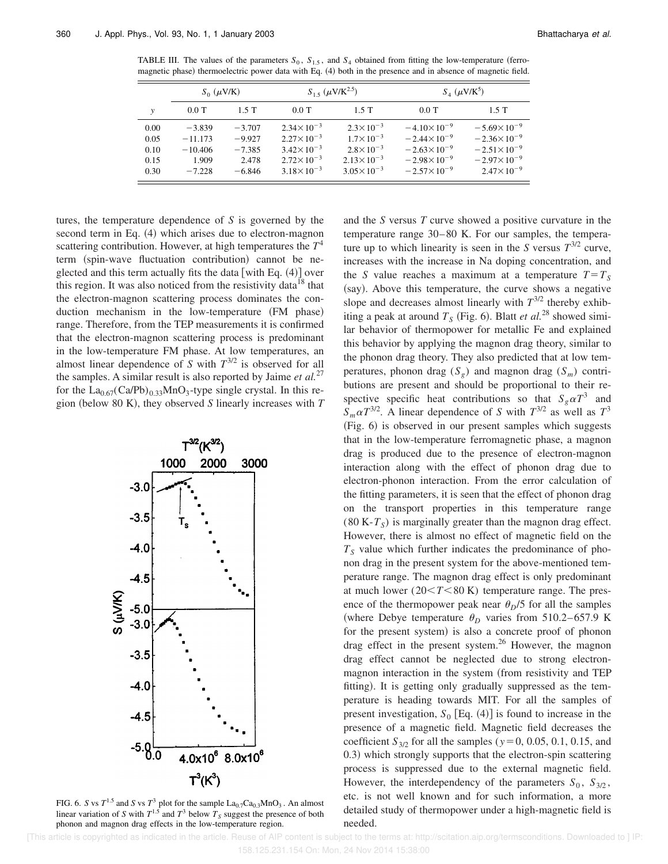TABLE III. The values of the parameters  $S_0$ ,  $S_{1.5}$ , and  $S_4$  obtained from fitting the low-temperature (ferromagnetic phase) thermoelectric power data with Eq. (4) both in the presence and in absence of magnetic field.

|      | $S_0$ ( $\mu$ V/K) |          | $S_{1.5}$ ( $\mu$ V/K <sup>2.5</sup> ) |                       | $S_4$ ( $\mu$ V/K <sup>5</sup> ) |                       |  |
|------|--------------------|----------|----------------------------------------|-----------------------|----------------------------------|-----------------------|--|
| v    | $0.0$ T            | 1.5T     | $0.0$ T                                | $1.5$ T               | $0.0$ T                          | $1.5$ T               |  |
| 0.00 | $-3.839$           | $-3.707$ | $2.34 \times 10^{-3}$                  | $2.3 \times 10^{-3}$  | $-4.10\times10^{-9}$             | $-5.69\times10^{-9}$  |  |
| 0.05 | $-11.173$          | $-9.927$ | $2.27 \times 10^{-3}$                  | $1.7 \times 10^{-3}$  | $-2.44 \times 10^{-9}$           | $-2.36\times10^{-9}$  |  |
| 0.10 | $-10.406$          | $-7.385$ | $3.42 \times 10^{-3}$                  | $2.8 \times 10^{-3}$  | $-2.63\times10^{-9}$             | $-2.51\times10^{-9}$  |  |
| 0.15 | 1.909              | 2.478    | $2.72 \times 10^{-3}$                  | $2.13 \times 10^{-3}$ | $-2.98\times10^{-9}$             | $-2.97\times10^{-9}$  |  |
| 0.30 | $-7.228$           | $-6.846$ | $3.18 \times 10^{-3}$                  | $3.05 \times 10^{-3}$ | $-2.57\times10^{-9}$             | $2.47 \times 10^{-9}$ |  |

tures, the temperature dependence of *S* is governed by the second term in Eq.  $(4)$  which arises due to electron-magnon scattering contribution. However, at high temperatures the *T* 4 term (spin-wave fluctuation contribution) cannot be neglected and this term actually fits the data [with Eq.  $(4)$ ] over this region. It was also noticed from the resistivity data<sup>18</sup> that the electron-magnon scattering process dominates the conduction mechanism in the low-temperature (FM phase) range. Therefore, from the TEP measurements it is confirmed that the electron-magnon scattering process is predominant in the low-temperature FM phase. At low temperatures, an almost linear dependence of *S* with  $T^{3/2}$  is observed for all the samples. A similar result is also reported by Jaime *et al.*<sup>27</sup> for the  $La_{0.67}(Ca/Pb)_{0.33}MnO_3$ -type single crystal. In this region (below 80 K), they observed  $S$  linearly increases with  $T$ 



FIG. 6. *S* vs  $T^{1.5}$  and *S* vs  $T^3$  plot for the sample  $\text{La}_{0.7}\text{Ca}_{0.3}\text{MnO}_3$ . An almost linear variation of *S* with  $T^{1.5}$  and  $T^3$  below  $T_s$  suggest the presence of both phonon and magnon drag effects in the low-temperature region.

and the *S* versus *T* curve showed a positive curvature in the temperature range 30–80 K. For our samples, the temperature up to which linearity is seen in the *S* versus  $T^{3/2}$  curve, increases with the increase in Na doping concentration, and the *S* value reaches a maximum at a temperature  $T = T_s$ (say). Above this temperature, the curve shows a negative slope and decreases almost linearly with  $T^{3/2}$  thereby exhibiting a peak at around  $T<sub>S</sub>$  (Fig. 6). Blatt *et al.*<sup>28</sup> showed similar behavior of thermopower for metallic Fe and explained this behavior by applying the magnon drag theory, similar to the phonon drag theory. They also predicted that at low temperatures, phonon drag  $(S_g)$  and magnon drag  $(S_m)$  contributions are present and should be proportional to their respective specific heat contributions so that  $S_g \alpha T^3$  and  $S_m \alpha T^{3/2}$ . A linear dependence of *S* with  $T^{3/2}$  as well as  $T^3$  $(Fig. 6)$  is observed in our present samples which suggests that in the low-temperature ferromagnetic phase, a magnon drag is produced due to the presence of electron-magnon interaction along with the effect of phonon drag due to electron-phonon interaction. From the error calculation of the fitting parameters, it is seen that the effect of phonon drag on the transport properties in this temperature range  $(80 K-T<sub>S</sub>)$  is marginally greater than the magnon drag effect. However, there is almost no effect of magnetic field on the  $T<sub>S</sub>$  value which further indicates the predominance of phonon drag in the present system for the above-mentioned temperature range. The magnon drag effect is only predominant at much lower  $(20 < T < 80 \text{ K})$  temperature range. The presence of the thermopower peak near  $\theta_D/5$  for all the samples (where Debye temperature  $\theta_D$  varies from 510.2–657.9 K for the present system) is also a concrete proof of phonon drag effect in the present system.<sup>26</sup> However, the magnon drag effect cannot be neglected due to strong electronmagnon interaction in the system (from resistivity and TEP fitting). It is getting only gradually suppressed as the temperature is heading towards MIT. For all the samples of present investigation,  $S_0$  [Eq. (4)] is found to increase in the presence of a magnetic field. Magnetic field decreases the coefficient  $S_{3/2}$  for all the samples ( $y=0, 0.05, 0.1, 0.15,$  and 0.3) which strongly supports that the electron-spin scattering process is suppressed due to the external magnetic field. However, the interdependency of the parameters  $S_0$ ,  $S_{3/2}$ , etc. is not well known and for such information, a more detailed study of thermopower under a high-magnetic field is needed.